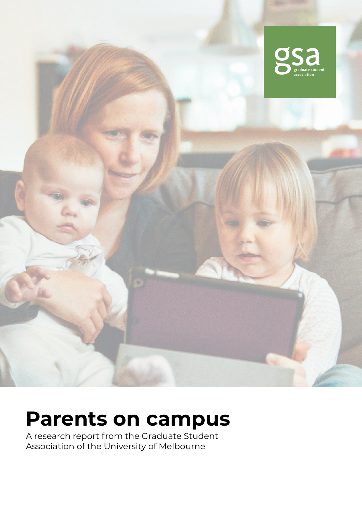

# **Parents on campus**

A research report from the Graduate Student Association of the University of Melbourne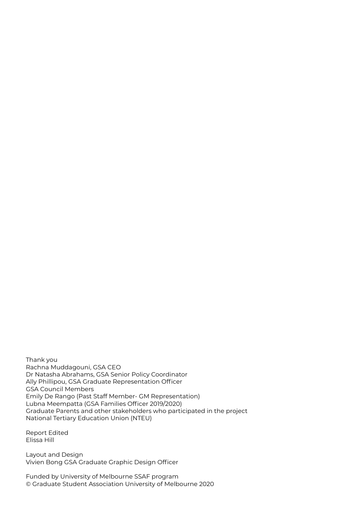Thank you Rachna Muddagouni, GSA CEO Dr Natasha Abrahams, GSA Senior Policy Coordinator Ally Phillipou, GSA Graduate Representation Officer GSA Council Members Emily De Rango (Past Staff Member- GM Representation) Lubna Meempatta (GSA Families Officer 2019/2020) Graduate Parents and other stakeholders who participated in the project National Tertiary Education Union (NTEU)

Report Edited Elissa Hill

Layout and Design Vivien Bong GSA Graduate Graphic Design Officer

Funded by University of Melbourne SSAF program © Graduate Student Association University of Melbourne 2020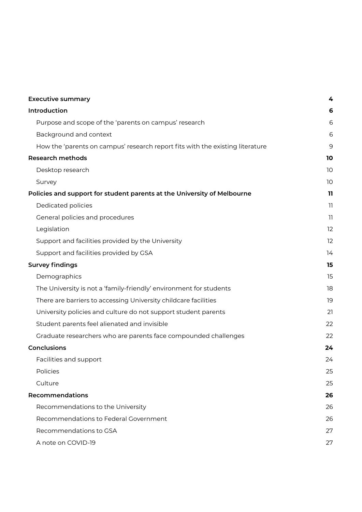| <b>Executive summary</b>                                                      | 4  |
|-------------------------------------------------------------------------------|----|
| Introduction                                                                  | 6  |
| Purpose and scope of the 'parents on campus' research                         | 6  |
| Background and context                                                        | 6  |
| How the 'parents on campus' research report fits with the existing literature | 9  |
| <b>Research methods</b>                                                       | 10 |
| Desktop research                                                              | 10 |
| Survey                                                                        | 10 |
| Policies and support for student parents at the University of Melbourne       | 11 |
| Dedicated policies                                                            | 11 |
| General policies and procedures                                               | 11 |
| Legislation                                                                   | 12 |
| Support and facilities provided by the University                             | 12 |
| Support and facilities provided by GSA                                        | 14 |
| <b>Survey findings</b>                                                        | 15 |
| Demographics                                                                  | 15 |
| The University is not a 'family-friendly' environment for students            | 18 |
| There are barriers to accessing University childcare facilities               | 19 |
| University policies and culture do not support student parents                | 21 |
| Student parents feel alienated and invisible                                  | 22 |
| Graduate researchers who are parents face compounded challenges               | 22 |
| <b>Conclusions</b>                                                            | 24 |
| Facilities and support                                                        | 24 |
| Policies                                                                      | 25 |
| Culture                                                                       | 25 |
| <b>Recommendations</b>                                                        | 26 |
| Recommendations to the University                                             | 26 |
| Recommendations to Federal Government                                         | 26 |
| Recommendations to GSA                                                        | 27 |
| A note on COVID-19                                                            | 27 |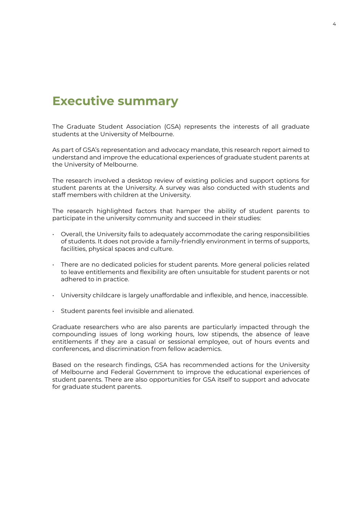### <span id="page-3-0"></span>**Executive summary**

The Graduate Student Association (GSA) represents the interests of all graduate students at the University of Melbourne.

As part of GSA's representation and advocacy mandate, this research report aimed to understand and improve the educational experiences of graduate student parents at the University of Melbourne.

The research involved a desktop review of existing policies and support options for student parents at the University. A survey was also conducted with students and staff members with children at the University.

The research highlighted factors that hamper the ability of student parents to participate in the university community and succeed in their studies:

- Overall, the University fails to adequately accommodate the caring responsibilities of students. It does not provide a family-friendly environment in terms of supports, facilities, physical spaces and culture.
- There are no dedicated policies for student parents. More general policies related to leave entitlements and flexibility are often unsuitable for student parents or not adhered to in practice.
- University childcare is largely unaffordable and inflexible, and hence, inaccessible.
- Student parents feel invisible and alienated.

Graduate researchers who are also parents are particularly impacted through the compounding issues of long working hours, low stipends, the absence of leave entitlements if they are a casual or sessional employee, out of hours events and conferences, and discrimination from fellow academics.

Based on the research findings, GSA has recommended actions for the University of Melbourne and Federal Government to improve the educational experiences of student parents. There are also opportunities for GSA itself to support and advocate for graduate student parents.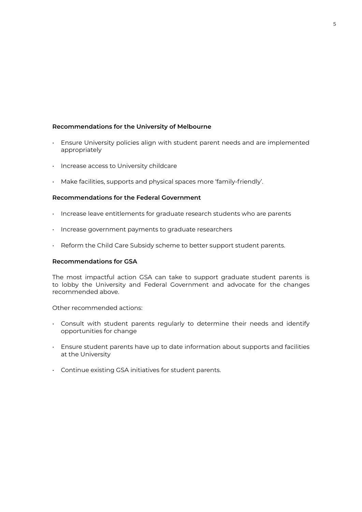#### **Recommendations for the University of Melbourne**

- Ensure University policies align with student parent needs and are implemented appropriately
- Increase access to University childcare
- Make facilities, supports and physical spaces more 'family-friendly'.

#### **Recommendations for the Federal Government**

- Increase leave entitlements for graduate research students who are parents
- Increase government payments to graduate researchers
- Reform the Child Care Subsidy scheme to better support student parents.

#### **Recommendations for GSA**

The most impactful action GSA can take to support graduate student parents is to lobby the University and Federal Government and advocate for the changes recommended above.

Other recommended actions:

- Consult with student parents regularly to determine their needs and identify opportunities for change
- Ensure student parents have up to date information about supports and facilities at the University
- Continue existing GSA initiatives for student parents.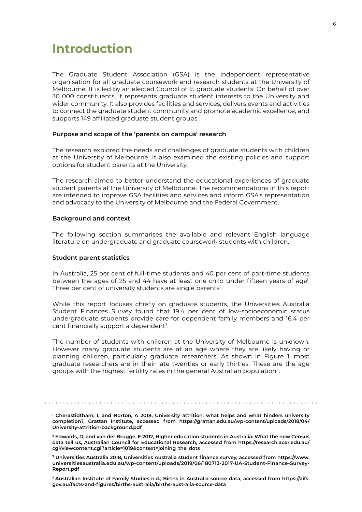### <span id="page-5-0"></span>**Introduction**

The Graduate Student Association (GSA) is the independent representative organisation for all graduate coursework and research students at the University of Melbourne. It is led by an elected Council of 15 graduate students. On behalf of over 30 000 constituents, it represents graduate student interests to the University and wider community. It also provides facilities and services, delivers events and activities to connect the graduate student community and promote academic excellence, and supports 149 affiliated graduate student groups.

#### **Purpose and scope of the 'parents on campus' research**

The research explored the needs and challenges of graduate students with children at the University of Melbourne. It also examined the existing policies and support options for student parents at the University.

The research aimed to better understand the educational experiences of graduate student parents at the University of Melbourne. The recommendations in this report are intended to improve GSA facilities and services and inform GSA's representation and advocacy to the University of Melbourne and the Federal Government.

#### **Background and context**

The following section summarises the available and relevant English language literature on undergraduate and graduate coursework students with children.

#### **Student parent statistics**

In Australia, 25 per cent of full-time students and 40 per cent of part-time students between the ages of 25 and 44 have at least one child under fifteen years of agel. Three per cent of university students are single parents<sup>2</sup>.

While this report focuses chiefly on graduate students, the Universities Australia Student Finances Survey found that 19.4 per cent of low-socioeconomic status undergraduate students provide care for dependent family members and 16.4 per cent financially support a dependent<sup>3</sup>.

The number of students with children at the University of Melbourne is unknown. However many graduate students are at an age where they are likely having or planning children, particularly graduate researchers. As shown in Figure 1, most graduate researchers are in their late twenties or early thirties. These are the age groups with the highest fertility rates in the general Australian population4.

**1 Cherastidtham, I, and Norton, A 2018, University attrition: what helps and what hinders university completion?, Grattan Institute, accessed from [https://grattan.edu.au/wp-content/uploads/2018/04/](https://grattan.edu.au/wp-content/uploads/2018/04/University-attrition-background.pdf ) [University-attrition-background.pdf](https://grattan.edu.au/wp-content/uploads/2018/04/University-attrition-background.pdf )**

**2 Edwards, D, and van der Brugge, E 2012, Higher education students in Australia: What the new Census data tell us, Australian Council for Educational Research, accessed from [https://research.acer.edu.au/](https://research.acer.edu.au/cgi/viewcontent.cgi?article=1019&context=joining_the_dots) [cgi/viewcontent.cgi?article=1019&context=joining\\_the\\_dots](https://research.acer.edu.au/cgi/viewcontent.cgi?article=1019&context=joining_the_dots)**

**3 Universities Australia 2018, Universities Australia student finance survey, accessed from [https://www.](https://www.universitiesaustralia.edu.au/wp-content/uploads/2019/06/180713-2017-UA-Student-Finance-Survey-Report.pdf) [universitiesaustralia.edu.au/wp-content/uploads/2019/06/180713-2017-UA-Student-Finance-Survey-](https://www.universitiesaustralia.edu.au/wp-content/uploads/2019/06/180713-2017-UA-Student-Finance-Survey-Report.pdf)[Report.pdf](https://www.universitiesaustralia.edu.au/wp-content/uploads/2019/06/180713-2017-UA-Student-Finance-Survey-Report.pdf)**

**4 Australian Institute of Family Studies n.d., Births in Australia source data, accessed from [https://aifs.](https://aifs.gov.au/facts-and-figures/births-australia/births-australia-source-data) [gov.au/facts-and-figures/births-australia/births-australia-source-data](https://aifs.gov.au/facts-and-figures/births-australia/births-australia-source-data)**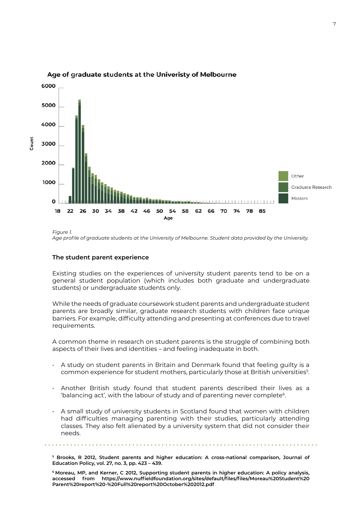

#### Age of graduate students at the Univeristy of Melbourne

#### **The student parent experience**

Existing studies on the experiences of university student parents tend to be on a general student population (which includes both graduate and undergraduate students) or undergraduate students only.

While the needs of graduate coursework student parents and undergraduate student parents are broadly similar, graduate research students with children face unique barriers. For example, difficulty attending and presenting at conferences due to travel requirements.

A common theme in research on student parents is the struggle of combining both aspects of their lives and identities – and feeling inadequate in both.

- A study on student parents in Britain and Denmark found that feeling guilty is a common experience for student mothers, particularly those at British universities5 .
- Another British study found that student parents described their lives as a 'balancing act', with the labour of study and of parenting never complete<sup>6</sup>.
- A small study of university students in Scotland found that women with children had difficulties managing parenting with their studies, particularly attending classes. They also felt alienated by a university system that did not consider their needs.

**5 Brooks, R 2012, Student parents and higher education: A cross-national comparison, Journal of Education Policy, vol. 27, no. 3, pp. 423 – 439.**

**6 Moreau, MP, and Kerner, C 2012, Supporting student parents in higher education: A policy analysis, accessed from [https://www.nuffieldfoundation.org/sites/default/files/files/Moreau%20Student%20](https://www.nuffieldfoundation.org/sites/default/files/files/Moreau%20Student%20Parent%20report%20-%20Full%20report%20October%202012.pdf) [Parent%20report%20-%20Full%20report%20October%202012.pdf](https://www.nuffieldfoundation.org/sites/default/files/files/Moreau%20Student%20Parent%20report%20-%20Full%20report%20October%202012.pdf)**

*Figure 1. Age profile of graduate students at the University of Melbourne. Student data provided by the University.*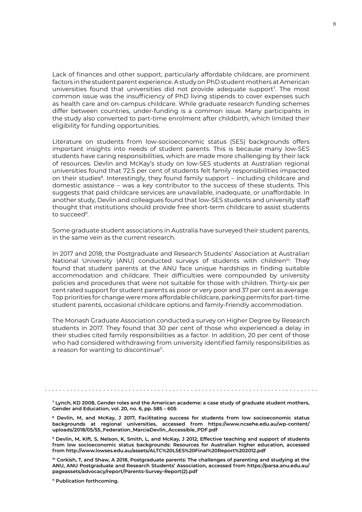Lack of finances and other support, particularly affordable childcare, are prominent factors in the student parent experience. A study on PhD student mothers at American universities found that universities did not provide adequate support<sup>7</sup>. The most common issue was the insufficiency of PhD living stipends to cover expenses such as health care and on-campus childcare. While graduate research funding schemes differ between countries, under-funding is a common issue. Many participants in the study also converted to part-time enrolment after childbirth, which limited their eligibility for funding opportunities.

Literature on students from low-socioeconomic status (SES) backgrounds offers important insights into needs of student parents. This is because many low-SES students have caring responsibilities, which are made more challenging by their lack of resources. Devlin and McKay's study on low-SES students at Australian regional universities found that 72.5 per cent of students felt family responsibilities impacted on their studies<sup>8</sup>. Interestingly, they found family support – including childcare and domestic assistance – was a key contributor to the success of these students. This suggests that paid childcare services are unavailable, inadequate, or unaffordable. In another study, Devlin and colleagues found that low-SES students and university staff thought that institutions should provide free short-term childcare to assist students to succeed9.

Some graduate student associations in Australia have surveyed their student parents, in the same vein as the current research.

In 2017 and 2018, the Postgraduate and Research Students' Association at Australian National University (ANU) conducted surveys of students with children<sup>10</sup>. They found that student parents at the ANU face unique hardships in finding suitable accommodation and childcare. Their difficulties were compounded by university policies and procedures that were not suitable for those with children. Thirty-six per cent rated support for student parents as poor or very poor and 37 per cent as average. Top priorities for change were more affordable childcare, parking permits for part-time student parents, occasional childcare options and family-friendly accommodation.

The Monash Graduate Association conducted a survey on Higher Degree by Research students in 2017. They found that 30 per cent of those who experienced a delay in their studies cited family responsibilities as a factor. In addition, 20 per cent of those who had considered withdrawing from university identified family responsibilities as a reason for wanting to discontinue<sup>11</sup>.

**7 Lynch, KD 2008, Gender roles and the American academe: a case study of graduate student mothers, Gender and Education, vol. 20, no. 6, pp. 585 – 605**

**8 Devlin, M, and McKay, J 2017, Facilitating success for students from low socioeconomic status backgrounds at regional universities, accessed from [https://www.ncsehe.edu.au/wp-content/](https://www.ncsehe.edu.au/wp-content/uploads/2018/05/55_Federation_MarciaDevlin_Accessible_PDF.pdf) [uploads/2018/05/55\\_Federation\\_MarciaDevlin\\_Accessible\\_PDF.pdf](https://www.ncsehe.edu.au/wp-content/uploads/2018/05/55_Federation_MarciaDevlin_Accessible_PDF.pdf)**

**9 Devlin, M, Kift, S, Nelson, K, Smith, L, and McKay, J 2012, Effective teaching and support of students from low socioeconomic status backgrounds: Resources for Australian higher education, accessed from <http://www.lowses.edu.au/assets/ALTC%20LSES%20Final%20Report%202012.pdf>**

**10 Corkish, T, and Shaw, A 2018, Postgraduate parents: The challenges of parenting and studying at the ANU, ANU Postgraduate and Research Students' Association, accessed from [https://parsa.anu.edu.au/](https://parsa.anu.edu.au/pageassets/advocacy/report/Parents-Survey-Report(2).pdf) [pageassets/advocacy/report/Parents-Survey-Report\(2\).pdf](https://parsa.anu.edu.au/pageassets/advocacy/report/Parents-Survey-Report(2).pdf)**

**11 Publication forthcoming.**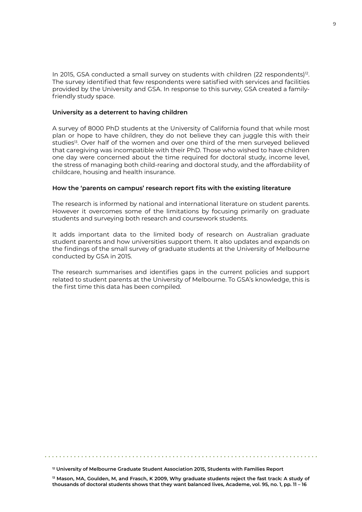<span id="page-8-0"></span>In 2015, GSA conducted a small survey on students with children (22 respondents)<sup>12</sup>. The survey identified that few respondents were satisfied with services and facilities provided by the University and GSA. In response to this survey, GSA created a familyfriendly study space.

#### **University as a deterrent to having children**

A survey of 8000 PhD students at the University of California found that while most plan or hope to have children, they do not believe they can juggle this with their studies<sup>13</sup>. Over half of the women and over one third of the men surveyed believed that caregiving was incompatible with their PhD. Those who wished to have children one day were concerned about the time required for doctoral study, income level, the stress of managing both child-rearing and doctoral study, and the affordability of childcare, housing and health insurance.

#### **How the 'parents on campus' research report fits with the existing literature**

The research is informed by national and international literature on student parents. However it overcomes some of the limitations by focusing primarily on graduate students and surveying both research and coursework students.

It adds important data to the limited body of research on Australian graduate student parents and how universities support them. It also updates and expands on the findings of the small survey of graduate students at the University of Melbourne conducted by GSA in 2015.

The research summarises and identifies gaps in the current policies and support related to student parents at the University of Melbourne. To GSA's knowledge, this is the first time this data has been compiled.

**<sup>12</sup> University of Melbourne Graduate Student Association 2015, Students with Families Report**

**<sup>13</sup> Mason, MA, Goulden, M, and Frasch, K 2009, Why graduate students reject the fast track: A study of thousands of doctoral students shows that they want balanced lives, Academe, vol. 95, no. 1, pp. 11 – 16**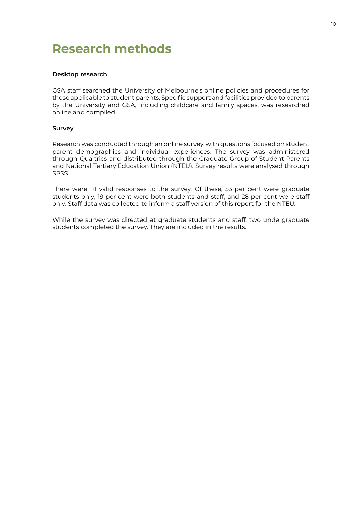# <span id="page-9-0"></span>**Research methods**

#### **Desktop research**

GSA staff searched the University of Melbourne's online policies and procedures for those applicable to student parents. Specific support and facilities provided to parents by the University and GSA, including childcare and family spaces, was researched online and compiled.

#### **Survey**

Research was conducted through an online survey, with questions focused on student parent demographics and individual experiences. The survey was administered through Qualtrics and distributed through the Graduate Group of Student Parents and National Tertiary Education Union (NTEU). Survey results were analysed through SPSS.

There were 111 valid responses to the survey. Of these, 53 per cent were graduate students only, 19 per cent were both students and staff, and 28 per cent were staff only. Staff data was collected to inform a staff version of this report for the NTEU.

While the survey was directed at graduate students and staff, two undergraduate students completed the survey. They are included in the results.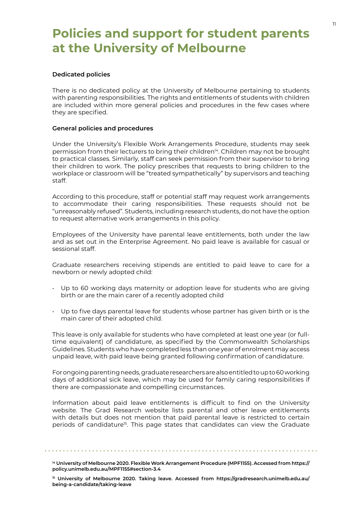# <span id="page-10-0"></span>**Policies and support for student parents at the University of Melbourne**

#### **Dedicated policies**

There is no dedicated policy at the University of Melbourne pertaining to students with parenting responsibilities. The rights and entitlements of students with children are included within more general policies and procedures in the few cases where they are specified.

#### **General policies and procedures**

Under the University's Flexible Work Arrangements Procedure, students may seek permission from their lecturers to bring their children<sup>14</sup>. Children may not be brought to practical classes. Similarly, staff can seek permission from their supervisor to bring their children to work. The policy prescribes that requests to bring children to the workplace or classroom will be "treated sympathetically" by supervisors and teaching staff.

According to this procedure, staff or potential staff may request work arrangements to accommodate their caring responsibilities. These requests should not be "unreasonably refused". Students, including research students, do not have the option to request alternative work arrangements in this policy.

Employees of the University have parental leave entitlements, both under the law and as set out in the Enterprise Agreement. No paid leave is available for casual or sessional staff.

Graduate researchers receiving stipends are entitled to paid leave to care for a newborn or newly adopted child:

- Up to 60 working days maternity or adoption leave for students who are giving birth or are the main carer of a recently adopted child
- Up to five days parental leave for students whose partner has given birth or is the main carer of their adopted child.

This leave is only available for students who have completed at least one year (or fulltime equivalent) of candidature, as specified by the Commonwealth Scholarships Guidelines. Students who have completed less than one year of enrolment may access unpaid leave, with paid leave being granted following confirmation of candidature.

For ongoing parenting needs, graduate researchers are also entitled to up to 60 working days of additional sick leave, which may be used for family caring responsibilities if there are compassionate and compelling circumstances.

Information about paid leave entitlements is difficult to find on the University website. The Grad Research website lists parental and other leave entitlements with details but does not mention that paid parental leave is restricted to certain periods of candidature<sup>15</sup>. This page states that candidates can view the Graduate

**<sup>14</sup> University of Melbourne 2020. Flexible Work Arrangement Procedure (MPF1155). Accessed from [https://](https://policy.unimelb.edu.au/MPF1155#section-3.4) [policy.unimelb.edu.au/MPF1155#section-3.4](https://policy.unimelb.edu.au/MPF1155#section-3.4)**

**<sup>15</sup> University of Melbourne 2020. Taking leave. Accessed from [https://gradresearch.unimelb.edu.au/](https://gradresearch.unimelb.edu.au/being-a-candidate/taking-leave) [being-a-candidate/taking-leave](https://gradresearch.unimelb.edu.au/being-a-candidate/taking-leave)**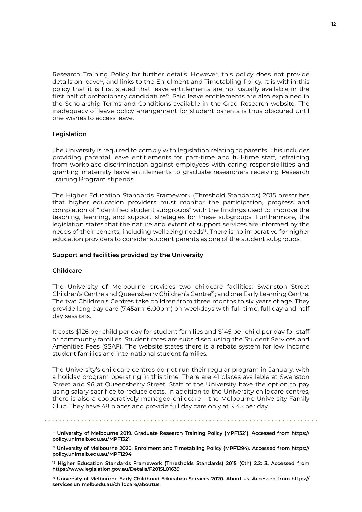<span id="page-11-0"></span>Research Training Policy for further details. However, this policy does not provide details on leave<sup>16</sup>, and links to the Enrolment and Timetabling Policy. It is within this policy that it is first stated that leave entitlements are not usually available in the first half of probationary candidature<sup>17</sup>. Paid leave entitlements are also explained in the Scholarship Terms and Conditions available in the Grad Research website. The inadequacy of leave policy arrangement for student parents is thus obscured until one wishes to access leave.

#### **Legislation**

The University is required to comply with legislation relating to parents. This includes providing parental leave entitlements for part-time and full-time staff, refraining from workplace discrimination against employees with caring responsibilities and granting maternity leave entitlements to graduate researchers receiving Research Training Program stipends.

The Higher Education Standards Framework (Threshold Standards) 2015 prescribes that higher education providers must monitor the participation, progress and completion of "identified student subgroups" with the findings used to improve the teaching, learning, and support strategies for these subgroups. Furthermore, the legislation states that the nature and extent of support services are informed by the needs of their cohorts, including wellbeing needs<sup>18</sup>. There is no imperative for higher education providers to consider student parents as one of the student subgroups.

#### **Support and facilities provided by the University**

#### **Childcare**

The University of Melbourne provides two childcare facilities: Swanston Street Children's Centre and Queensberry Children's Centre<sup>19</sup>; and one Early Learning Centre. The two Children's Centres take children from three months to six years of age. They provide long day care (7.45am–6.00pm) on weekdays with full-time, full day and half day sessions.

It costs \$126 per child per day for student families and \$145 per child per day for staff or community families. Student rates are subsidised using the Student Services and Amenities Fees (SSAF). The website states there is a rebate system for low income student families and international student families.

The University's childcare centres do not run their regular program in January, with a holiday program operating in this time. There are 41 places available at Swanston Street and 96 at Queensberry Street. Staff of the University have the option to pay using salary sacrifice to reduce costs. In addition to the University childcare centres, there is also a cooperatively managed childcare – the Melbourne University Family Club. They have 48 places and provide full day care only at \$145 per day.

**16 University of Melbourne 2019. Graduate Research Training Policy (MPF1321). Accessed from [https://](https://policy.unimelb.edu.au/MPF1321) [policy.unimelb.edu.au/MPF1321](https://policy.unimelb.edu.au/MPF1321)**

**18 Higher Education Standards Framework (Thresholds Standards) 2015 (Cth) 2.2: 3. Accessed from [https://www.legislation.gov.au/Details/F2015L01639](https://www.legislation.gov.au/Details/F2015L01639 )**

**19 University of Melbourne Early Childhood Education Services 2020. About us. Accessed from [https://](https://services.unimelb.edu.au/childcare/aboutus) [services.unimelb.edu.au/childcare/aboutus](https://services.unimelb.edu.au/childcare/aboutus)**

**<sup>17</sup> University of Melbourne 2020. Enrolment and Timetabling Policy (MPF1294). Accessed from [https://](https://policy.unimelb.edu.au/MPF1294) [policy.unimelb.edu.au/MPF1294](https://policy.unimelb.edu.au/MPF1294)**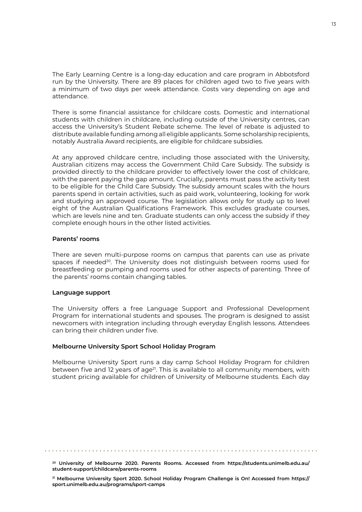The Early Learning Centre is a long-day education and care program in Abbotsford run by the University. There are 89 places for children aged two to five years with a minimum of two days per week attendance. Costs vary depending on age and attendance.

There is some financial assistance for childcare costs. Domestic and international students with children in childcare, including outside of the University centres, can access the University's Student Rebate scheme. The level of rebate is adjusted to distribute available funding among all eligible applicants. Some scholarship recipients, notably Australia Award recipients, are eligible for childcare subsidies.

At any approved childcare centre, including those associated with the University, Australian citizens may access the Government Child Care Subsidy. The subsidy is provided directly to the childcare provider to effectively lower the cost of childcare, with the parent paying the gap amount. Crucially, parents must pass the activity test to be eligible for the Child Care Subsidy. The subsidy amount scales with the hours parents spend in certain activities, such as paid work, volunteering, looking for work and studying an approved course. The legislation allows only for study up to level eight of the Australian Qualifications Framework. This excludes graduate courses, which are levels nine and ten. Graduate students can only access the subsidy if they complete enough hours in the other listed activities.

#### **Parents' rooms**

There are seven multi-purpose rooms on campus that parents can use as private spaces if needed<sup>20</sup>. The University does not distinguish between rooms used for breastfeeding or pumping and rooms used for other aspects of parenting. Three of the parents' rooms contain changing tables.

#### **Language support**

The University offers a free Language Support and Professional Development Program for international students and spouses. The program is designed to assist newcomers with integration including through everyday English lessons. Attendees can bring their children under five.

#### **Melbourne University Sport School Holiday Program**

Melbourne University Sport runs a day camp School Holiday Program for children between five and 12 years of age<sup>21</sup>. This is available to all community members, with student pricing available for children of University of Melbourne students. Each day

**20 University of Melbourne 2020. Parents Rooms. Accessed from [https://students.unimelb.edu.au/](https://students.unimelb.edu.au/student-support/childcare/parents-rooms ) [student-support/childcare/parents-rooms](https://students.unimelb.edu.au/student-support/childcare/parents-rooms )**

**21 Melbourne University Sport 2020. School Holiday Program Challenge is On! Accessed from [https://](https://sport.unimelb.edu.au/programs/sport-camps ) [sport.unimelb.edu.au/programs/sport-camps](https://sport.unimelb.edu.au/programs/sport-camps )**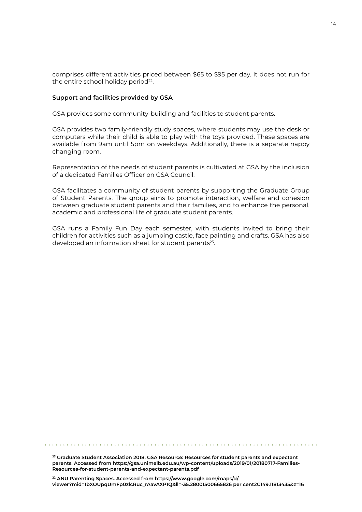<span id="page-13-0"></span>comprises different activities priced between \$65 to \$95 per day. It does not run for the entire school holiday period<sup>22</sup>.

#### **Support and facilities provided by GSA**

GSA provides some community-building and facilities to student parents.

GSA provides two family-friendly study spaces, where students may use the desk or computers while their child is able to play with the toys provided. These spaces are available from 9am until 5pm on weekdays. Additionally, there is a separate nappy changing room.

Representation of the needs of student parents is cultivated at GSA by the inclusion of a dedicated Families Officer on GSA Council.

GSA facilitates a community of student parents by supporting the Graduate Group of Student Parents. The group aims to promote interaction, welfare and cohesion between graduate student parents and their families, and to enhance the personal, academic and professional life of graduate student parents.

GSA runs a Family Fun Day each semester, with students invited to bring their children for activities such as a jumping castle, face painting and crafts. GSA has also developed an information sheet for student parents<sup>23</sup>.

**23 Graduate Student Association 2018. GSA Resource: Resources for student parents and expectant parents. Accessed from [https://gsa.unimelb.edu.au/wp-content/uploads/2019/01/20180717-Families-](https://gsa.unimelb.edu.au/wp-content/uploads/2019/01/20180717-Families-Resources-for-student-parents-and-expectant-parents.pdf)[Resources-for-student-parents-and-expectant-parents.pdf](https://gsa.unimelb.edu.au/wp-content/uploads/2019/01/20180717-Families-Resources-for-student-parents-and-expectant-parents.pdf)**

**22 ANU Parenting Spaces. Accessed from [https://www.google.com/maps/d/](https://www.google.com/maps/d/viewer?mid=1bXOUpqUmFp0zlcRuc_rAavAXP1Q&ll=-35.28001500665826 per cent) [viewer?mid=1bXOUpqUmFp0zlcRuc\\_rAavAXP1Q&ll=-35.28001500665826 per cent2C149.11813435&z=16](https://www.google.com/maps/d/viewer?mid=1bXOUpqUmFp0zlcRuc_rAavAXP1Q&ll=-35.28001500665826 per cent)**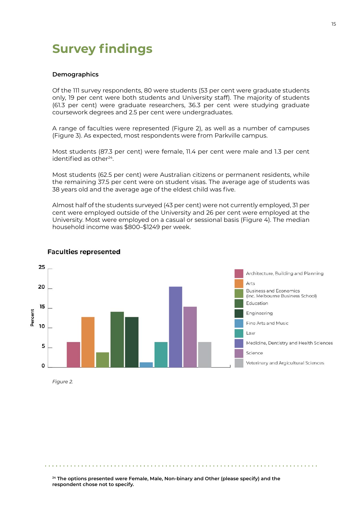# <span id="page-14-0"></span>**Survey findings**

#### **Demographics**

Of the 111 survey respondents, 80 were students (53 per cent were graduate students only, 19 per cent were both students and University staff). The majority of students (61.3 per cent) were graduate researchers, 36.3 per cent were studying graduate coursework degrees and 2.5 per cent were undergraduates.

A range of faculties were represented (Figure 2), as well as a number of campuses (Figure 3). As expected, most respondents were from Parkville campus.

Most students (87.3 per cent) were female, 11.4 per cent were male and 1.3 per cent identified as other<sup>24</sup>.

Most students (62.5 per cent) were Australian citizens or permanent residents, while the remaining 37.5 per cent were on student visas. The average age of students was 38 years old and the average age of the eldest child was five.

Almost half of the students surveyed (43 per cent) were not currently employed, 31 per cent were employed outside of the University and 26 per cent were employed at the University. Most were employed on a casual or sessional basis (Figure 4). The median household income was \$800–\$1249 per week.



#### **Faculties represented**

**24 The options presented were Female, Male, Non-binary and Other (please specify) and the respondent chose not to specify.**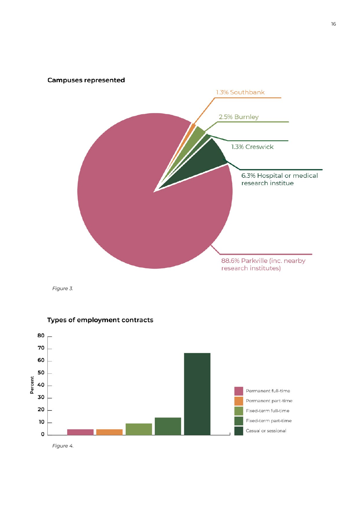

*Figure 3.*



#### Types of employment contracts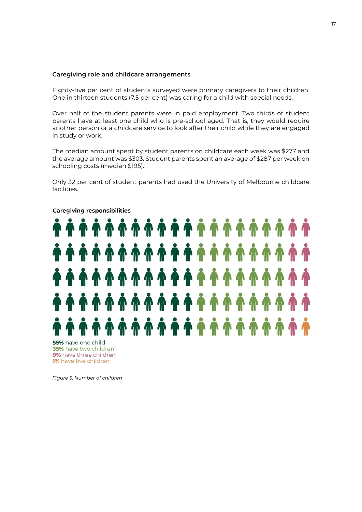#### **Caregiving role and childcare arrangements**

Eighty-five per cent of students surveyed were primary caregivers to their children. One in thirteen students (7.5 per cent) was caring for a child with special needs.

Over half of the student parents were in paid employment. Two thirds of student parents have at least one child who is pre-school aged. That is, they would require another person or a childcare service to look after their child while they are engaged in study or work.

The median amount spent by student parents on childcare each week was \$277 and the average amount was \$303. Student parents spent an average of \$287 per week on schooling costs (median \$195).

Only 32 per cent of student parents had used the University of Melbourne childcare facilities.



#### Caregiving responsibilities

55% have one child 35% have two children 9% have three children 1% have five children

*Figure 5. Number of children*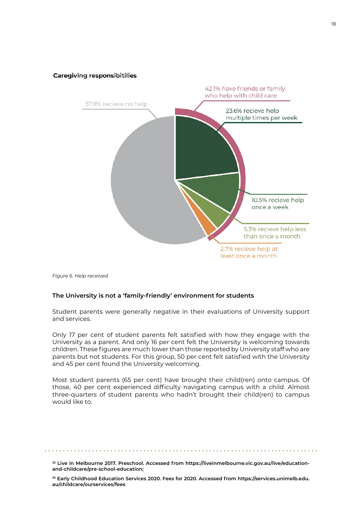<span id="page-17-0"></span>

*Figure 6. Help received*

#### **The University is not a 'family-friendly' environment for students**

Student parents were generally negative in their evaluations of University support and services.

Only 17 per cent of student parents felt satisfied with how they engage with the University as a parent. And only 16 per cent felt the University is welcoming towards children. These figures are much lower than those reported by University staff who are parents but not students. For this group, 50 per cent felt satisfied with the University and 45 per cent found the University welcoming.

Most student parents (65 per cent) have brought their child(ren) onto campus. Of those, 40 per cent experienced difficulty navigating campus with a child. Almost three-quarters of student parents who hadn't brought their child(ren) to campus would like to.

**25 Live in Melbourne 2017. Preschool. Accessed from [https://liveinmelbourne.vic.gov.au/live/education](https://liveinmelbourne.vic.gov.au/live/education-and-childcare/pre-school-education; )[and-childcare/pre-school-education;](https://liveinmelbourne.vic.gov.au/live/education-and-childcare/pre-school-education; )**

**<sup>26</sup> Early Childhood Education Services 2020. Fees for 2020. Accessed from [https://services.unimelb.edu.](https://services.unimelb.edu.au/childcare/ourservices/fees) [au/childcare/ourservices/fees](https://services.unimelb.edu.au/childcare/ourservices/fees)**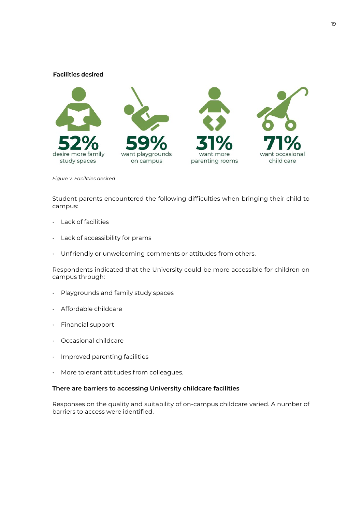#### <span id="page-18-0"></span>**Facilities desired**



*Figure 7. Facilities desired*

Student parents encountered the following difficulties when bringing their child to campus:

- Lack of facilities
- Lack of accessibility for prams
- Unfriendly or unwelcoming comments or attitudes from others.

Respondents indicated that the University could be more accessible for children on campus through:

- Playgrounds and family study spaces
- Affordable childcare
- Financial support
- Occasional childcare
- Improved parenting facilities
- More tolerant attitudes from colleagues.

#### **There are barriers to accessing University childcare facilities**

Responses on the quality and suitability of on-campus childcare varied. A number of barriers to access were identified.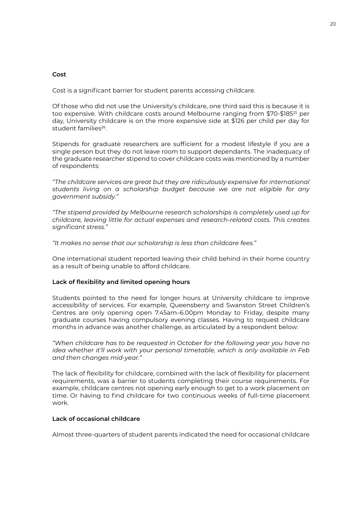#### **Cost**

Cost is a significant barrier for student parents accessing childcare.

Of those who did not use the University's childcare, one third said this is because it is too expensive. With childcare costs around Melbourne ranging from \$70-\$185<sup>25</sup> per day, University childcare is on the more expensive side at \$126 per child per day for student families<sup>26</sup>.

Stipends for graduate researchers are sufficient for a modest lifestyle if you are a single person but they do not leave room to support dependants. The inadequacy of the graduate researcher stipend to cover childcare costs was mentioned by a number of respondents:

*"The childcare services are great but they are ridiculously expensive for international students living on a scholarship budget because we are not eligible for any government subsidy."*

*"The stipend provided by Melbourne research scholarships is completely used up for childcare, leaving little for actual expenses and research-related costs. This creates significant stress."*

*"It makes no sense that our scholarship is less than childcare fees."*

One international student reported leaving their child behind in their home country as a result of being unable to afford childcare.

#### **Lack of flexibility and limited opening hours**

Students pointed to the need for longer hours at University childcare to improve accessibility of services. For example, Queensberry and Swanston Street Children's Centres are only opening open 7.45am–6.00pm Monday to Friday, despite many graduate courses having compulsory evening classes. Having to request childcare months in advance was another challenge, as articulated by a respondent below:

*"When childcare has to be requested in October for the following year you have no idea whether it'll work with your personal timetable, which is only available in Feb and then changes mid-year."*

The lack of flexibility for childcare, combined with the lack of flexibility for placement requirements, was a barrier to students completing their course requirements. For example, childcare centres not opening early enough to get to a work placement on time. Or having to find childcare for two continuous weeks of full-time placement work.

#### **Lack of occasional childcare**

Almost three-quarters of student parents indicated the need for occasional childcare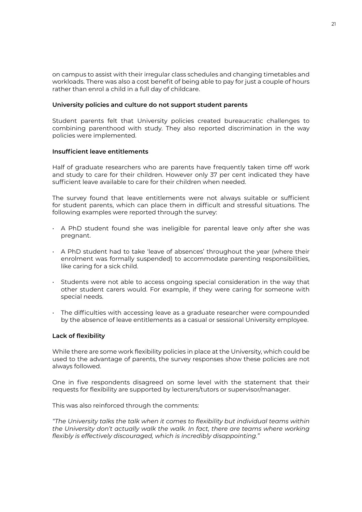<span id="page-20-0"></span>on campus to assist with their irregular class schedules and changing timetables and workloads. There was also a cost benefit of being able to pay for just a couple of hours rather than enrol a child in a full day of childcare.

#### **University policies and culture do not support student parents**

Student parents felt that University policies created bureaucratic challenges to combining parenthood with study. They also reported discrimination in the way policies were implemented.

#### **Insufficient leave entitlements**

Half of graduate researchers who are parents have frequently taken time off work and study to care for their children. However only 37 per cent indicated they have sufficient leave available to care for their children when needed.

The survey found that leave entitlements were not always suitable or sufficient for student parents, which can place them in difficult and stressful situations. The following examples were reported through the survey:

- A PhD student found she was ineligible for parental leave only after she was pregnant.
- A PhD student had to take 'leave of absences' throughout the year (where their enrolment was formally suspended) to accommodate parenting responsibilities, like caring for a sick child.
- Students were not able to access ongoing special consideration in the way that other student carers would. For example, if they were caring for someone with special needs.
- The difficulties with accessing leave as a graduate researcher were compounded by the absence of leave entitlements as a casual or sessional University employee.

#### **Lack of flexibility**

While there are some work flexibility policies in place at the University, which could be used to the advantage of parents, the survey responses show these policies are not always followed.

One in five respondents disagreed on some level with the statement that their requests for flexibility are supported by lecturers/tutors or supervisor/manager.

This was also reinforced through the comments:

*"The University talks the talk when it comes to flexibility but individual teams within the University don't actually walk the walk. In fact, there are teams where working flexibly is effectively discouraged, which is incredibly disappointing."*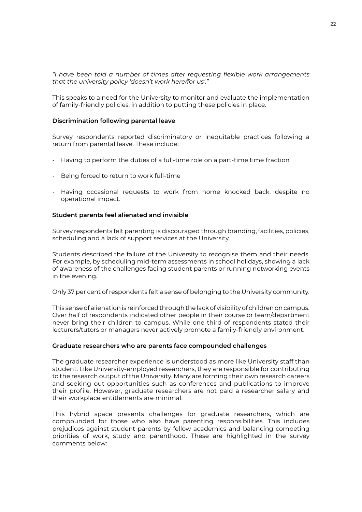<span id="page-21-0"></span>*"I have been told a number of times after requesting flexible work arrangements that the university policy 'doesn't work here/for us'."*

This speaks to a need for the University to monitor and evaluate the implementation of family-friendly policies, in addition to putting these policies in place.

#### **Discrimination following parental leave**

Survey respondents reported discriminatory or inequitable practices following a return from parental leave. These include:

- Having to perform the duties of a full-time role on a part-time time fraction
- Being forced to return to work full-time
- Having occasional requests to work from home knocked back, despite no operational impact.

#### **Student parents feel alienated and invisible**

Survey respondents felt parenting is discouraged through branding, facilities, policies, scheduling and a lack of support services at the University.

Students described the failure of the University to recognise them and their needs. For example, by scheduling mid-term assessments in school holidays, showing a lack of awareness of the challenges facing student parents or running networking events in the evening.

Only 37 per cent of respondents felt a sense of belonging to the University community.

This sense of alienation is reinforced through the lack of visibility of children on campus. Over half of respondents indicated other people in their course or team/department never bring their children to campus. While one third of respondents stated their lecturers/tutors or managers never actively promote a family-friendly environment.

#### **Graduate researchers who are parents face compounded challenges**

The graduate researcher experience is understood as more like University staff than student. Like University-employed researchers, they are responsible for contributing to the research output of the University. Many are forming their own research careers and seeking out opportunities such as conferences and publications to improve their profile. However, graduate researchers are not paid a researcher salary and their workplace entitlements are minimal.

This hybrid space presents challenges for graduate researchers, which are compounded for those who also have parenting responsibilities. This includes prejudices against student parents by fellow academics and balancing competing priorities of work, study and parenthood. These are highlighted in the survey comments below: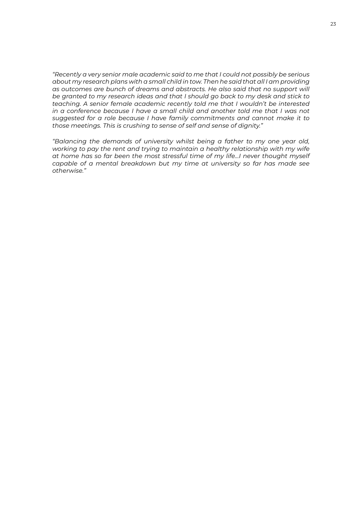*"Recently a very senior male academic said to me that I could not possibly be serious about my research plans with a small child in tow. Then he said that all I am providing as outcomes are bunch of dreams and abstracts. He also said that no support will be granted to my research ideas and that I should go back to my desk and stick to teaching. A senior female academic recently told me that I wouldn't be interested in a conference because I have a small child and another told me that I was not suggested for a role because I have family commitments and cannot make it to those meetings. This is crushing to sense of self and sense of dignity."*

*"Balancing the demands of university whilst being a father to my one year old, working to pay the rent and trying to maintain a healthy relationship with my wife at home has so far been the most stressful time of my life…I never thought myself capable of a mental breakdown but my time at university so far has made see otherwise."*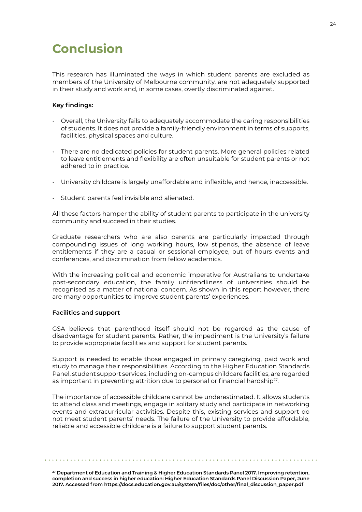# <span id="page-23-0"></span>**Conclusion**

This research has illuminated the ways in which student parents are excluded as members of the University of Melbourne community, are not adequately supported in their study and work and, in some cases, overtly discriminated against.

#### **Key findings:**

- Overall, the University fails to adequately accommodate the caring responsibilities of students. It does not provide a family-friendly environment in terms of supports, facilities, physical spaces and culture.
- There are no dedicated policies for student parents. More general policies related to leave entitlements and flexibility are often unsuitable for student parents or not adhered to in practice.
- University childcare is largely unaffordable and inflexible, and hence, inaccessible.
- Student parents feel invisible and alienated.

All these factors hamper the ability of student parents to participate in the university community and succeed in their studies.

Graduate researchers who are also parents are particularly impacted through compounding issues of long working hours, low stipends, the absence of leave entitlements if they are a casual or sessional employee, out of hours events and conferences, and discrimination from fellow academics.

With the increasing political and economic imperative for Australians to undertake post-secondary education, the family unfriendliness of universities should be recognised as a matter of national concern. As shown in this report however, there are many opportunities to improve student parents' experiences.

#### **Facilities and support**

GSA believes that parenthood itself should not be regarded as the cause of disadvantage for student parents. Rather, the impediment is the University's failure to provide appropriate facilities and support for student parents.

Support is needed to enable those engaged in primary caregiving, paid work and study to manage their responsibilities. According to the Higher Education Standards Panel, student support services, including on-campus childcare facilities, are regarded as important in preventing attrition due to personal or financial hardship<sup>27</sup>.

The importance of accessible childcare cannot be underestimated. It allows students to attend class and meetings, engage in solitary study and participate in networking events and extracurricular activities. Despite this, existing services and support do not meet student parents' needs. The failure of the University to provide affordable, reliable and accessible childcare is a failure to support student parents.

**27 Department of Education and Training & Higher Education Standards Panel 2017. Improving retention, completion and success in higher education: Higher Education Standards Panel Discussion Paper, June 2017. Accessed from [https://docs.education.gov.au/system/files/doc/other/final\\_discussion\\_paper.pdf](https://docs.education.gov.au/system/files/doc/other/final_discussion_paper.pdf)**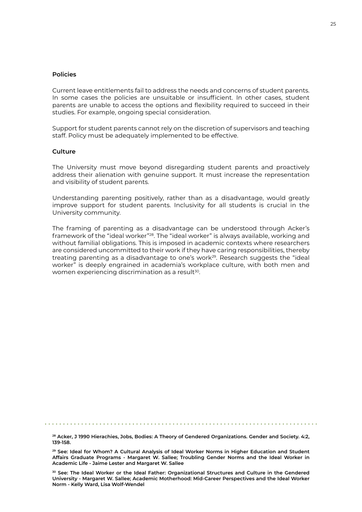#### <span id="page-24-0"></span>**Policies**

Current leave entitlements fail to address the needs and concerns of student parents. In some cases the policies are unsuitable or insufficient. In other cases, student parents are unable to access the options and flexibility required to succeed in their studies. For example, ongoing special consideration.

Support for student parents cannot rely on the discretion of supervisors and teaching staff. Policy must be adequately implemented to be effective.

#### **Culture**

The University must move beyond disregarding student parents and proactively address their alienation with genuine support. It must increase the representation and visibility of student parents.

Understanding parenting positively, rather than as a disadvantage, would greatly improve support for student parents. Inclusivity for all students is crucial in the University community.

The framing of parenting as a disadvantage can be understood through Acker's framework of the "ideal worker"28. The "ideal worker" is always available, working and without familial obligations. This is imposed in academic contexts where researchers are considered uncommitted to their work if they have caring responsibilities, thereby treating parenting as a disadvantage to one's work $^{29}$ . Research suggests the "ideal worker" is deeply engrained in academia's workplace culture, with both men and women experiencing discrimination as a result<sup>30</sup>.

**28 Acker, J 1990 Hierachies, Jobs, Bodies: A Theory of Gendered Organizations. Gender and Society. 4:2, 139-158.**

**29 See: Ideal for Whom? A Cultural Analysis of Ideal Worker Norms in Higher Education and Student Affairs Graduate Programs - Margaret W. Sallee; Troubling Gender Norms and the Ideal Worker in Academic Life - Jaime Lester and Margaret W. Sallee**

**30 See: The Ideal Worker or the Ideal Father: Organizational Structures and Culture in the Gendered University - Margaret W. Sallee; Academic Motherhood: Mid-Career Perspectives and the Ideal Worker Norm - Kelly Ward, Lisa Wolf-Wendel**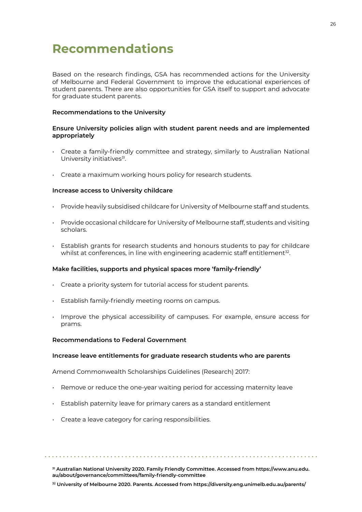# <span id="page-25-0"></span>**Recommendations**

Based on the research findings, GSA has recommended actions for the University of Melbourne and Federal Government to improve the educational experiences of student parents. There are also opportunities for GSA itself to support and advocate for graduate student parents.

#### **Recommendations to the University**

#### **Ensure University policies align with student parent needs and are implemented appropriately**

- Create a family-friendly committee and strategy, similarly to Australian National University initiatives<sup>31</sup>.
- Create a maximum working hours policy for research students.

#### **Increase access to University childcare**

- Provide heavily subsidised childcare for University of Melbourne staff and students.
- Provide occasional childcare for University of Melbourne staff, students and visiting scholars.
- Establish grants for research students and honours students to pay for childcare whilst at conferences, in line with engineering academic staff entitlement<sup>32</sup>.

#### **Make facilities, supports and physical spaces more 'family-friendly'**

- Create a priority system for tutorial access for student parents.
- Establish family-friendly meeting rooms on campus.
- Improve the physical accessibility of campuses. For example, ensure access for prams.

#### **Recommendations to Federal Government**

#### **Increase leave entitlements for graduate research students who are parents**

Amend Commonwealth Scholarships Guidelines (Research) 2017:

- Remove or reduce the one-year waiting period for accessing maternity leave
- Establish paternity leave for primary carers as a standard entitlement
- Create a leave category for caring responsibilities.

**31 Australian National University 2020. Family Friendly Committee. Accessed from [https://www.anu.edu.](https://www.anu.edu.au/about/governance/committees/family-friendly-committee) [au/about/governance/committees/family-friendly-committee](https://www.anu.edu.au/about/governance/committees/family-friendly-committee)**

26

**32 University of Melbourne 2020. Parents. Accessed from [https://diversity.eng.unimelb.edu.au/parents/](https://diversity.eng.unimelb.edu.au/parents/ )**